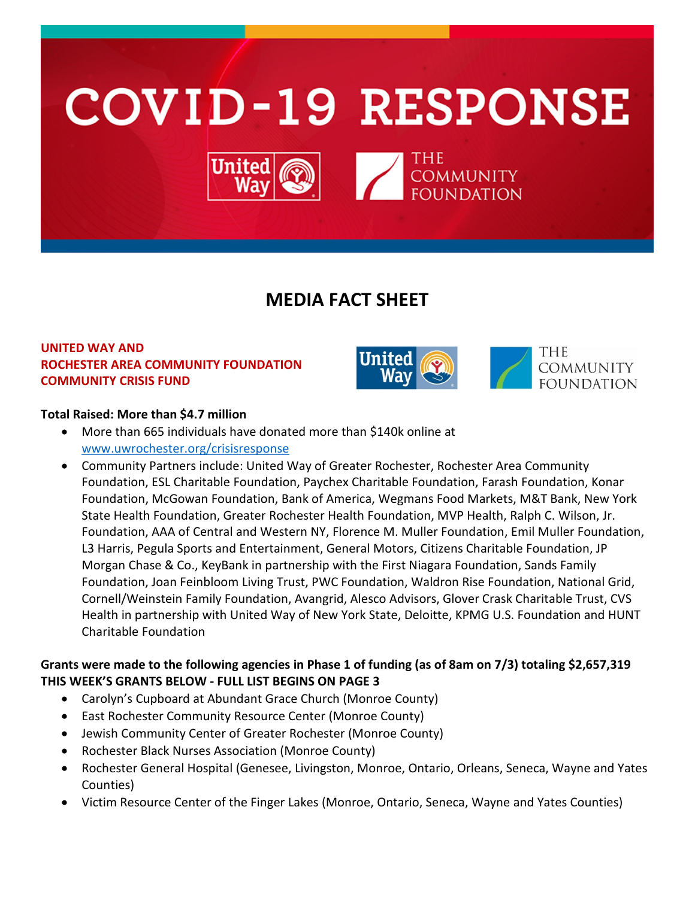

# **MEDIA FACT SHEET**

## **UNITED WAY AND ROCHESTER AREA COMMUNITY FOUNDATION COMMUNITY CRISIS FUND**



## **Total Raised: More than \$4.7 million**

- More than 665 individuals have donated more than \$140k online at [www.uwrochester.org/crisisresponse](http://www.uwrochester.org/crisisresponse)
- Community Partners include: United Way of Greater Rochester, Rochester Area Community Foundation, ESL Charitable Foundation, Paychex Charitable Foundation, Farash Foundation, Konar Foundation, McGowan Foundation, Bank of America, Wegmans Food Markets, M&T Bank, New York State Health Foundation, Greater Rochester Health Foundation, MVP Health, Ralph C. Wilson, Jr. Foundation, AAA of Central and Western NY, Florence M. Muller Foundation, Emil Muller Foundation, L3 Harris, Pegula Sports and Entertainment, General Motors, Citizens Charitable Foundation, JP Morgan Chase & Co., KeyBank in partnership with the First Niagara Foundation, Sands Family Foundation, Joan Feinbloom Living Trust, PWC Foundation, Waldron Rise Foundation, National Grid, Cornell/Weinstein Family Foundation, Avangrid, Alesco Advisors, Glover Crask Charitable Trust, CVS Health in partnership with United Way of New York State, Deloitte, KPMG U.S. Foundation and HUNT Charitable Foundation

## **Grants were made to the following agencies in Phase 1 of funding (as of 8am on 7/3) totaling \$2,657,319 THIS WEEK'S GRANTS BELOW - FULL LIST BEGINS ON PAGE 3**

- Carolyn's Cupboard at Abundant Grace Church (Monroe County)
- East Rochester Community Resource Center (Monroe County)
- Jewish Community Center of Greater Rochester (Monroe County)
- Rochester Black Nurses Association (Monroe County)
- Rochester General Hospital (Genesee, Livingston, Monroe, Ontario, Orleans, Seneca, Wayne and Yates Counties)
- Victim Resource Center of the Finger Lakes (Monroe, Ontario, Seneca, Wayne and Yates Counties)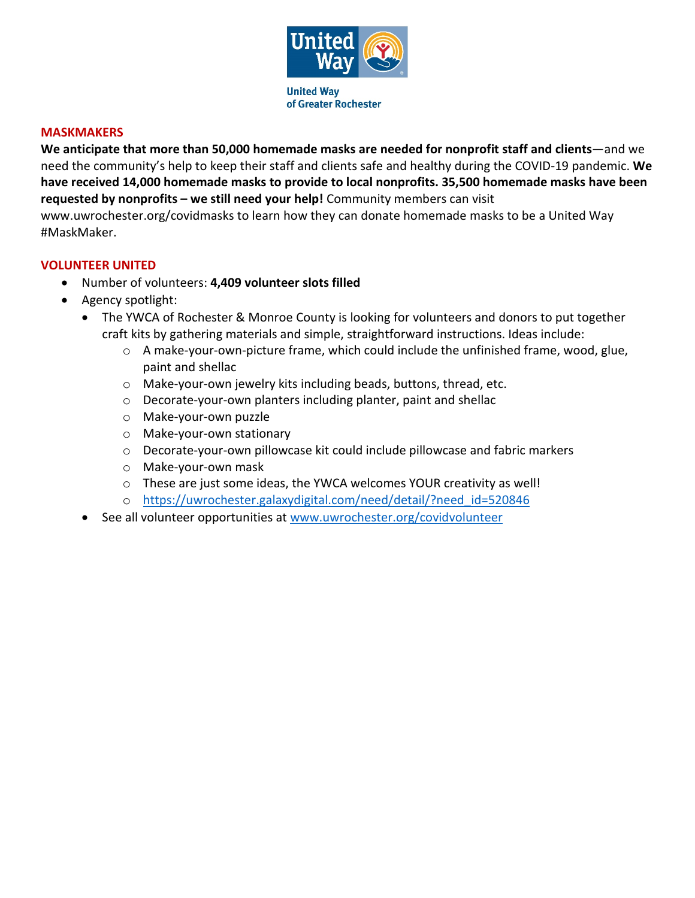

#### **MASKMAKERS**

**We anticipate that more than 50,000 homemade masks are needed for nonprofit staff and clients**—and we need the community's help to keep their staff and clients safe and healthy during the COVID-19 pandemic. **We have received 14,000 homemade masks to provide to local nonprofits. 35,500 homemade masks have been requested by nonprofits – we still need your help!** Community members can visit www.uwrochester.org/covidmasks to learn how they can donate homemade masks to be a United Way #MaskMaker.

#### **VOLUNTEER UNITED**

- Number of volunteers: **4,409 volunteer slots filled**
- Agency spotlight:
	- The YWCA of Rochester & Monroe County is looking for volunteers and donors to put together craft kits by gathering materials and simple, straightforward instructions. Ideas include:
		- o A make-your-own-picture frame, which could include the unfinished frame, wood, glue, paint and shellac
		- o Make-your-own jewelry kits including beads, buttons, thread, etc.
		- o Decorate-your-own planters including planter, paint and shellac
		- o Make-your-own puzzle
		- o Make-your-own stationary
		- o Decorate-your-own pillowcase kit could include pillowcase and fabric markers
		- o Make-your-own mask
		- o These are just some ideas, the YWCA welcomes YOUR creativity as well!
		- o [https://uwrochester.galaxydigital.com/need/detail/?need\\_id=520846](https://uwrochester.galaxydigital.com/need/detail/?need_id=520846)
	- See all volunteer opportunities at [www.uwrochester.org/covidvolunteer](http://www.uwrochester.org/covidvolunteer)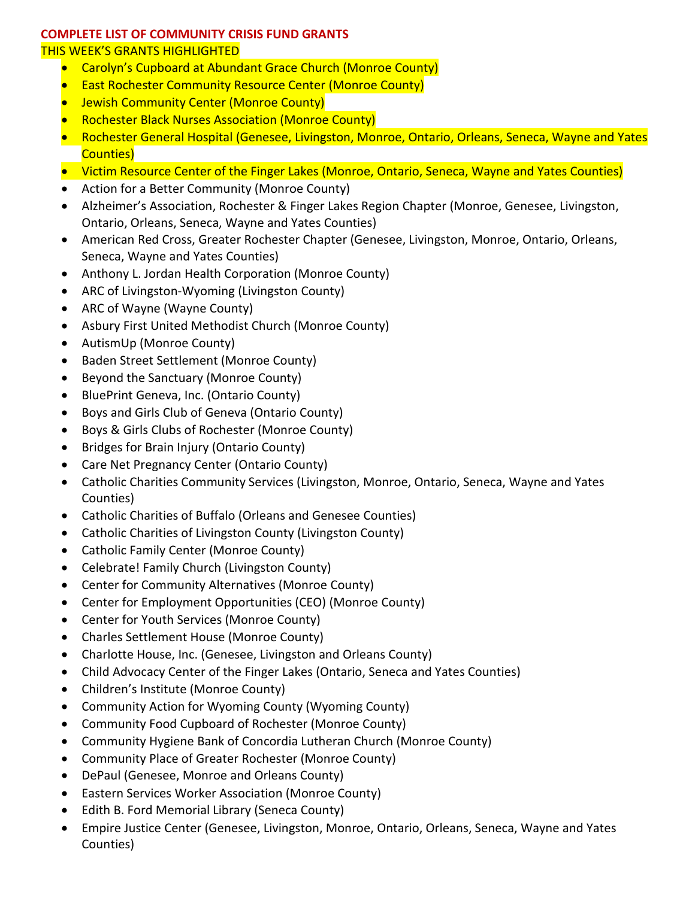## **COMPLETE LIST OF COMMUNITY CRISIS FUND GRANTS**

### THIS WEEK'S GRANTS HIGHLIGHTED

- Carolyn's Cupboard at Abundant Grace Church (Monroe County)
- East Rochester Community Resource Center (Monroe County)
- Jewish Community Center (Monroe County)
- Rochester Black Nurses Association (Monroe County)
- Rochester General Hospital (Genesee, Livingston, Monroe, Ontario, Orleans, Seneca, Wayne and Yates Counties)
- Victim Resource Center of the Finger Lakes (Monroe, Ontario, Seneca, Wayne and Yates Counties)
- Action for a Better Community (Monroe County)
- Alzheimer's Association, Rochester & Finger Lakes Region Chapter (Monroe, Genesee, Livingston, Ontario, Orleans, Seneca, Wayne and Yates Counties)
- American Red Cross, Greater Rochester Chapter (Genesee, Livingston, Monroe, Ontario, Orleans, Seneca, Wayne and Yates Counties)
- Anthony L. Jordan Health Corporation (Monroe County)
- ARC of Livingston-Wyoming (Livingston County)
- ARC of Wayne (Wayne County)
- Asbury First United Methodist Church (Monroe County)
- AutismUp (Monroe County)
- Baden Street Settlement (Monroe County)
- Beyond the Sanctuary (Monroe County)
- BluePrint Geneva, Inc. (Ontario County)
- Boys and Girls Club of Geneva (Ontario County)
- Boys & Girls Clubs of Rochester (Monroe County)
- Bridges for Brain Injury (Ontario County)
- Care Net Pregnancy Center (Ontario County)
- Catholic Charities Community Services (Livingston, Monroe, Ontario, Seneca, Wayne and Yates Counties)
- Catholic Charities of Buffalo (Orleans and Genesee Counties)
- Catholic Charities of Livingston County (Livingston County)
- Catholic Family Center (Monroe County)
- Celebrate! Family Church (Livingston County)
- Center for Community Alternatives (Monroe County)
- Center for Employment Opportunities (CEO) (Monroe County)
- Center for Youth Services (Monroe County)
- Charles Settlement House (Monroe County)
- Charlotte House, Inc. (Genesee, Livingston and Orleans County)
- Child Advocacy Center of the Finger Lakes (Ontario, Seneca and Yates Counties)
- Children's Institute (Monroe County)
- Community Action for Wyoming County (Wyoming County)
- Community Food Cupboard of Rochester (Monroe County)
- Community Hygiene Bank of Concordia Lutheran Church (Monroe County)
- Community Place of Greater Rochester (Monroe County)
- DePaul (Genesee, Monroe and Orleans County)
- Eastern Services Worker Association (Monroe County)
- Edith B. Ford Memorial Library (Seneca County)
- Empire Justice Center (Genesee, Livingston, Monroe, Ontario, Orleans, Seneca, Wayne and Yates Counties)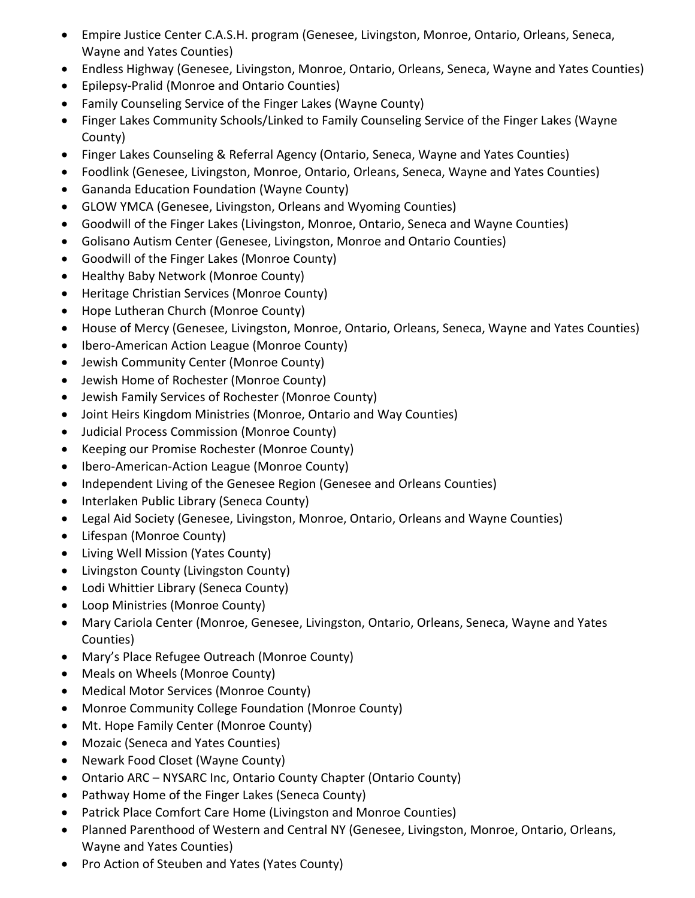- Empire Justice Center C.A.S.H. program (Genesee, Livingston, Monroe, Ontario, Orleans, Seneca, Wayne and Yates Counties)
- Endless Highway (Genesee, Livingston, Monroe, Ontario, Orleans, Seneca, Wayne and Yates Counties)
- Epilepsy-Pralid (Monroe and Ontario Counties)
- Family Counseling Service of the Finger Lakes (Wayne County)
- Finger Lakes Community Schools/Linked to Family Counseling Service of the Finger Lakes (Wayne County)
- Finger Lakes Counseling & Referral Agency (Ontario, Seneca, Wayne and Yates Counties)
- Foodlink (Genesee, Livingston, Monroe, Ontario, Orleans, Seneca, Wayne and Yates Counties)
- Gananda Education Foundation (Wayne County)
- GLOW YMCA (Genesee, Livingston, Orleans and Wyoming Counties)
- Goodwill of the Finger Lakes (Livingston, Monroe, Ontario, Seneca and Wayne Counties)
- Golisano Autism Center (Genesee, Livingston, Monroe and Ontario Counties)
- Goodwill of the Finger Lakes (Monroe County)
- Healthy Baby Network (Monroe County)
- Heritage Christian Services (Monroe County)
- Hope Lutheran Church (Monroe County)
- House of Mercy (Genesee, Livingston, Monroe, Ontario, Orleans, Seneca, Wayne and Yates Counties)
- Ibero-American Action League (Monroe County)
- Jewish Community Center (Monroe County)
- Jewish Home of Rochester (Monroe County)
- Jewish Family Services of Rochester (Monroe County)
- Joint Heirs Kingdom Ministries (Monroe, Ontario and Way Counties)
- Judicial Process Commission (Monroe County)
- Keeping our Promise Rochester (Monroe County)
- Ibero-American-Action League (Monroe County)
- Independent Living of the Genesee Region (Genesee and Orleans Counties)
- Interlaken Public Library (Seneca County)
- Legal Aid Society (Genesee, Livingston, Monroe, Ontario, Orleans and Wayne Counties)
- Lifespan (Monroe County)
- Living Well Mission (Yates County)
- Livingston County (Livingston County)
- Lodi Whittier Library (Seneca County)
- Loop Ministries (Monroe County)
- Mary Cariola Center (Monroe, Genesee, Livingston, Ontario, Orleans, Seneca, Wayne and Yates Counties)
- Mary's Place Refugee Outreach (Monroe County)
- Meals on Wheels (Monroe County)
- Medical Motor Services (Monroe County)
- Monroe Community College Foundation (Monroe County)
- Mt. Hope Family Center (Monroe County)
- Mozaic (Seneca and Yates Counties)
- Newark Food Closet (Wayne County)
- Ontario ARC NYSARC Inc, Ontario County Chapter (Ontario County)
- Pathway Home of the Finger Lakes (Seneca County)
- Patrick Place Comfort Care Home (Livingston and Monroe Counties)
- Planned Parenthood of Western and Central NY (Genesee, Livingston, Monroe, Ontario, Orleans, Wayne and Yates Counties)
- Pro Action of Steuben and Yates (Yates County)